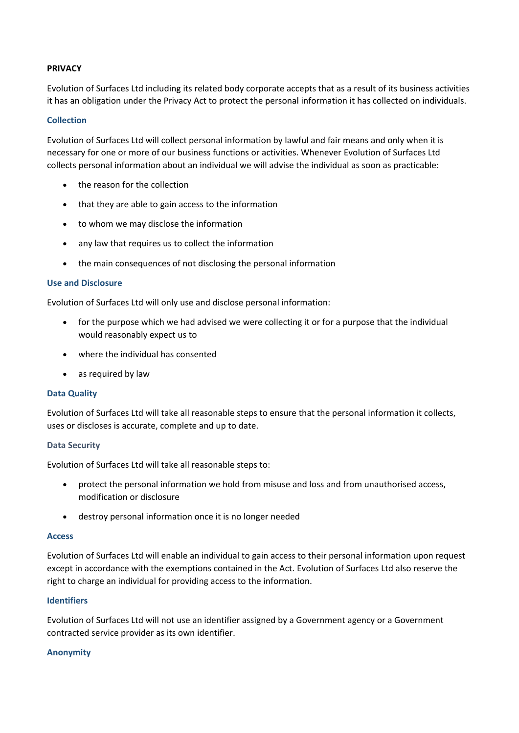# **PRIVACY**

Evolution of Surfaces Ltd including its related body corporate accepts that as a result of its business activities it has an obligation under the Privacy Act to protect the personal information it has collected on individuals.

## **Collection**

Evolution of Surfaces Ltd will collect personal information by lawful and fair means and only when it is necessary for one or more of our business functions or activities. Whenever Evolution of Surfaces Ltd collects personal information about an individual we will advise the individual as soon as practicable:

- the reason for the collection
- that they are able to gain access to the information
- to whom we may disclose the information
- any law that requires us to collect the information
- the main consequences of not disclosing the personal information

## **Use and Disclosure**

Evolution of Surfaces Ltd will only use and disclose personal information:

- for the purpose which we had advised we were collecting it or for a purpose that the individual would reasonably expect us to
- where the individual has consented
- as required by law

## **Data Quality**

Evolution of Surfaces Ltd will take all reasonable steps to ensure that the personal information it collects, uses or discloses is accurate, complete and up to date.

## **Data Security**

Evolution of Surfaces Ltd will take all reasonable steps to:

- protect the personal information we hold from misuse and loss and from unauthorised access, modification or disclosure
- destroy personal information once it is no longer needed

#### **Access**

Evolution of Surfaces Ltd will enable an individual to gain access to their personal information upon request except in accordance with the exemptions contained in the Act. Evolution of Surfaces Ltd also reserve the right to charge an individual for providing access to the information.

## **Identifiers**

Evolution of Surfaces Ltd will not use an identifier assigned by a Government agency or a Government contracted service provider as its own identifier.

## **Anonymity**